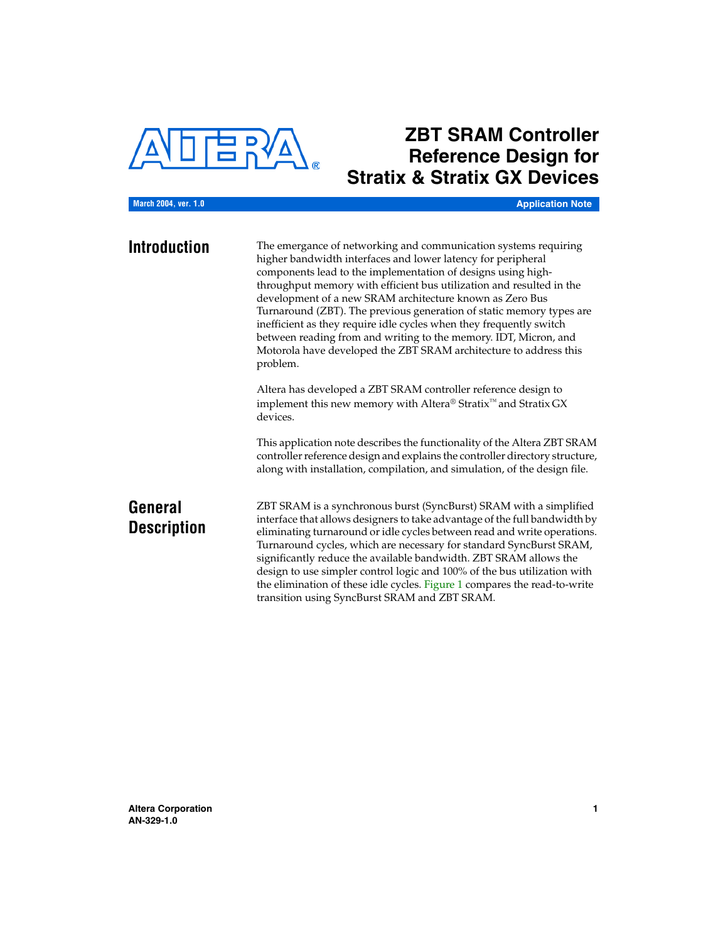

# **ZBT SRAM Controller Reference Design for Stratix & Stratix GX Devices**

**March 2004, ver. 1.0**

**Application Note**

**Introduction** The emergance of networking and communication systems requiring higher bandwidth interfaces and lower latency for peripheral components lead to the implementation of designs using highthroughput memory with efficient bus utilization and resulted in the development of a new SRAM architecture known as Zero Bus Turnaround (ZBT). The previous generation of static memory types are inefficient as they require idle cycles when they frequently switch between reading from and writing to the memory. IDT, Micron, and Motorola have developed the ZBT SRAM architecture to address this problem.

> Altera has developed a ZBT SRAM controller reference design to implement this new memory with Altera<sup>®</sup> Stratix<sup>™</sup> and Stratix GX devices.

This application note describes the functionality of the Altera ZBT SRAM controller reference design and explains the controller directory structure, along with installation, compilation, and simulation, of the design file.

# **General Description**

ZBT SRAM is a synchronous burst (SyncBurst) SRAM with a simplified interface that allows designers to take advantage of the full bandwidth by eliminating turnaround or idle cycles between read and write operations. Turnaround cycles, which are necessary for standard SyncBurst SRAM, significantly reduce the available bandwidth. ZBT SRAM allows the design to use simpler control logic and 100% of the bus utilization with the elimination of these idle cycles. [Figure 1](#page-1-0) compares the read-to-write transition using SyncBurst SRAM and ZBT SRAM.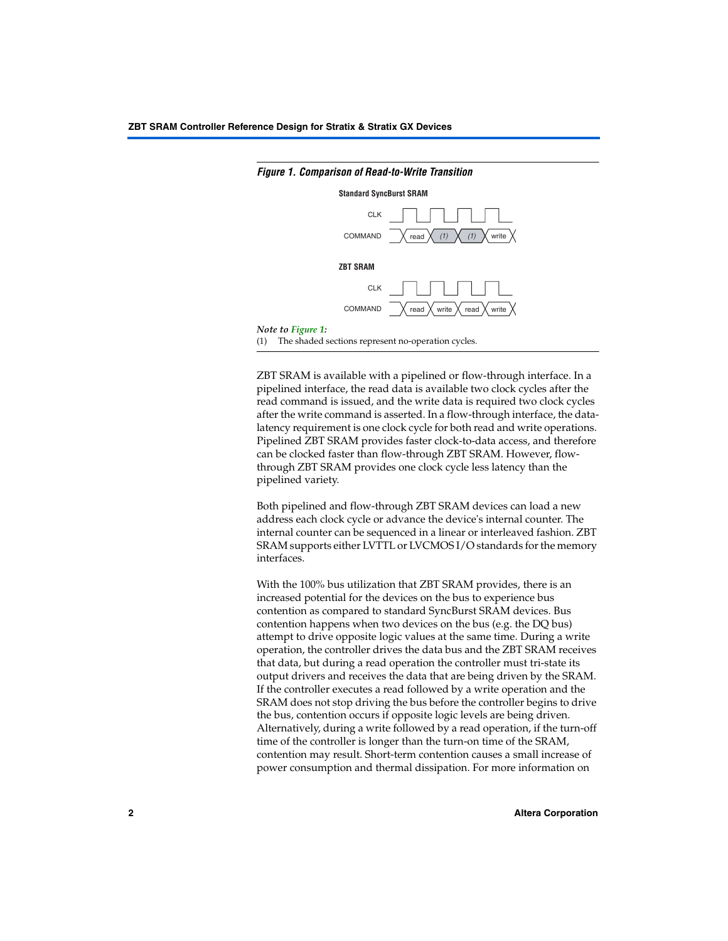

### ZBT SRAM is available with a pipelined or flow-through interface. In a pipelined interface, the read data is available two clock cycles after the read command is issued, and the write data is required two clock cycles after the write command is asserted. In a flow-through interface, the datalatency requirement is one clock cycle for both read and write operations. Pipelined ZBT SRAM provides faster clock-to-data access, and therefore can be clocked faster than flow-through ZBT SRAM. However, flowthrough ZBT SRAM provides one clock cycle less latency than the pipelined variety.

Both pipelined and flow-through ZBT SRAM devices can load a new address each clock cycle or advance the device's internal counter. The internal counter can be sequenced in a linear or interleaved fashion. ZBT SRAM supports either LVTTL or LVCMOS I/O standards for the memory interfaces.

With the 100% bus utilization that ZBT SRAM provides, there is an increased potential for the devices on the bus to experience bus contention as compared to standard SyncBurst SRAM devices. Bus contention happens when two devices on the bus (e.g. the DQ bus) attempt to drive opposite logic values at the same time. During a write operation, the controller drives the data bus and the ZBT SRAM receives that data, but during a read operation the controller must tri-state its output drivers and receives the data that are being driven by the SRAM. If the controller executes a read followed by a write operation and the SRAM does not stop driving the bus before the controller begins to drive the bus, contention occurs if opposite logic levels are being driven. Alternatively, during a write followed by a read operation, if the turn-off time of the controller is longer than the turn-on time of the SRAM, contention may result. Short-term contention causes a small increase of power consumption and thermal dissipation. For more information on

### <span id="page-1-0"></span>*Figure 1. Comparison of Read-to-Write Transition*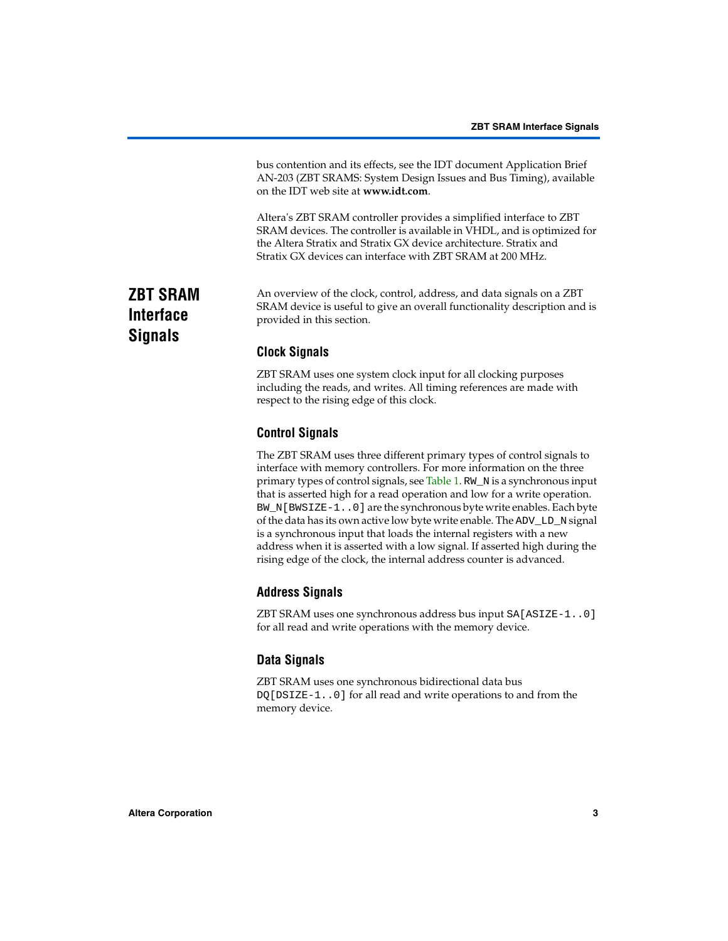bus contention and its effects, see the IDT document Application Brief AN-203 (ZBT SRAMS: System Design Issues and Bus Timing), available on the IDT web site at **www.idt.com**.

Altera's ZBT SRAM controller provides a simplified interface to ZBT SRAM devices. The controller is available in VHDL, and is optimized for the Altera Stratix and Stratix GX device architecture. Stratix and Stratix GX devices can interface with ZBT SRAM at 200 MHz.

An overview of the clock, control, address, and data signals on a ZBT SRAM device is useful to give an overall functionality description and is provided in this section.

# **Clock Signals**

ZBT SRAM uses one system clock input for all clocking purposes including the reads, and writes. All timing references are made with respect to the rising edge of this clock.

# **Control Signals**

The ZBT SRAM uses three different primary types of control signals to interface with memory controllers. For more information on the three primary types of control signals, see [Table 1](#page-3-0). RW\_N is a synchronous input that is asserted high for a read operation and low for a write operation. BW\_N[BWSIZE-1..0] are the synchronous byte write enables. Each byte of the data has its own active low byte write enable. The ADV\_LD\_N signal is a synchronous input that loads the internal registers with a new address when it is asserted with a low signal. If asserted high during the rising edge of the clock, the internal address counter is advanced.

## **Address Signals**

ZBT SRAM uses one synchronous address bus input SA[ASIZE-1..0] for all read and write operations with the memory device.

# **Data Signals**

ZBT SRAM uses one synchronous bidirectional data bus DQ[DSIZE-1..0] for all read and write operations to and from the memory device.

# **ZBT SRAM Interface Signals**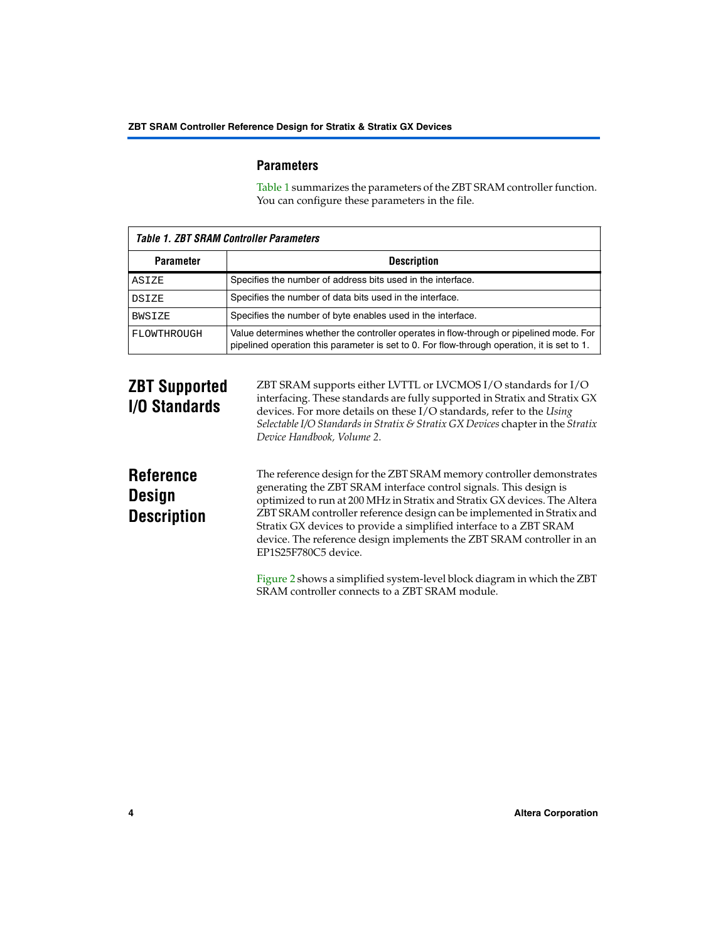## **Parameters**

[Table 1](#page-3-0) summarizes the parameters of the ZBT SRAM controller function. You can configure these parameters in the file.

<span id="page-3-0"></span>

| <b>Table 1. ZBT SRAM Controller Parameters</b> |                                                                                                                                                                                        |  |
|------------------------------------------------|----------------------------------------------------------------------------------------------------------------------------------------------------------------------------------------|--|
| <b>Parameter</b>                               | <b>Description</b>                                                                                                                                                                     |  |
| ASIZE                                          | Specifies the number of address bits used in the interface.                                                                                                                            |  |
| <b>DSIZE</b>                                   | Specifies the number of data bits used in the interface.                                                                                                                               |  |
| <b>BWSIZE</b>                                  | Specifies the number of byte enables used in the interface.                                                                                                                            |  |
| FLOWTHROUGH                                    | Value determines whether the controller operates in flow-through or pipelined mode. For<br>pipelined operation this parameter is set to 0. For flow-through operation, it is set to 1. |  |

# **ZBT Supported I/O Standards**

ZBT SRAM supports either LVTTL or LVCMOS I/O standards for I/O interfacing. These standards are fully supported in Stratix and Stratix GX devices. For more details on these I/O standards, refer to the *Using Selectable I/O Standards in Stratix & Stratix GX Devices* chapter in the *Stratix Device Handbook, Volume 2*.

# **Reference Design Description**

The reference design for the ZBT SRAM memory controller demonstrates generating the ZBT SRAM interface control signals. This design is optimized to run at 200 MHz in Stratix and Stratix GX devices. The Altera ZBT SRAM controller reference design can be implemented in Stratix and Stratix GX devices to provide a simplified interface to a ZBT SRAM device. The reference design implements the ZBT SRAM controller in an EP1S25F780C5 device.

[Figure 2](#page-4-0) shows a simplified system-level block diagram in which the ZBT SRAM controller connects to a ZBT SRAM module.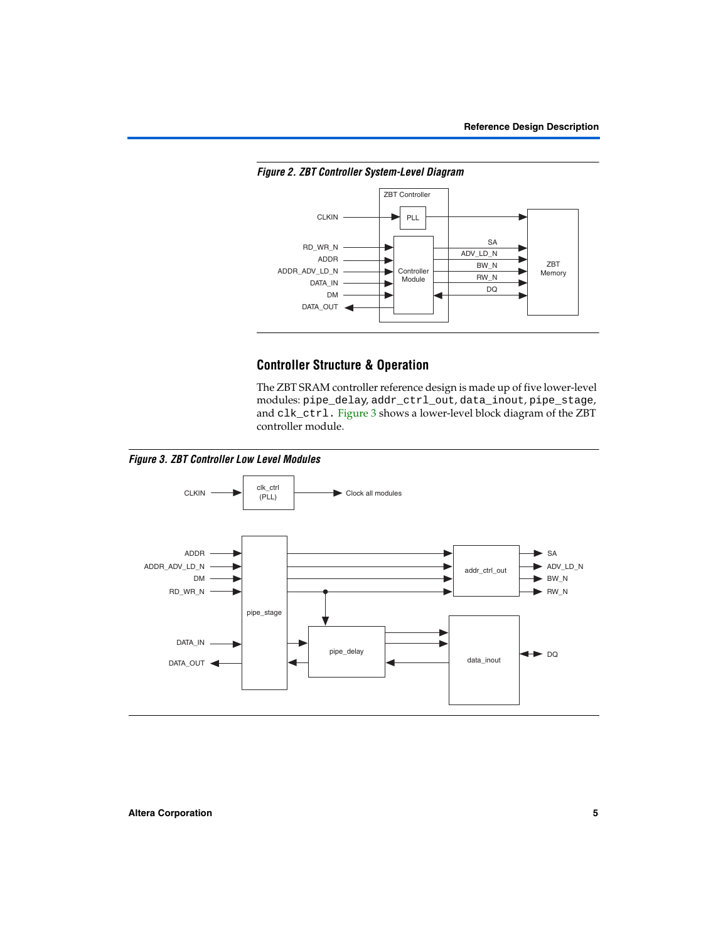<span id="page-4-0"></span>



# **Controller Structure & Operation**

The ZBT SRAM controller reference design is made up of five lower-level modules: pipe\_delay, addr\_ctrl\_out, data\_inout, pipe\_stage, and clk\_ctrl. [Figure 3](#page-4-1) shows a lower-level block diagram of the ZBT controller module.

<span id="page-4-1"></span>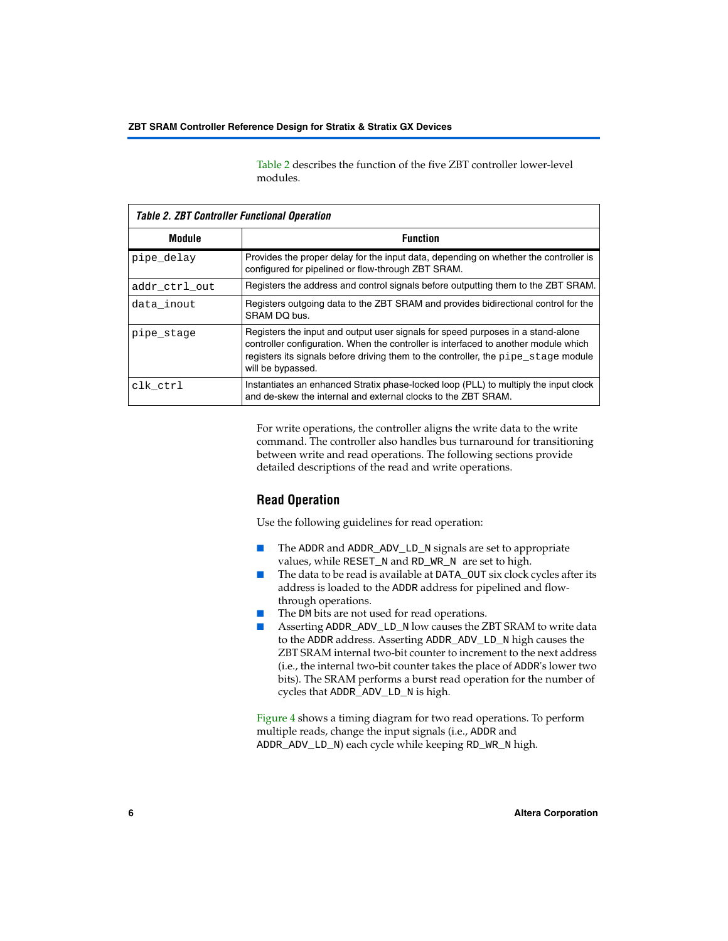[Table 2](#page-5-0) describes the function of the five ZBT controller lower-level modules.

<span id="page-5-0"></span>

| <b>Table 2. ZBT Controller Functional Operation</b> |                                                                                                                                                                                                                                                                                   |  |  |
|-----------------------------------------------------|-----------------------------------------------------------------------------------------------------------------------------------------------------------------------------------------------------------------------------------------------------------------------------------|--|--|
| Module                                              | <b>Function</b>                                                                                                                                                                                                                                                                   |  |  |
| pipe_delay                                          | Provides the proper delay for the input data, depending on whether the controller is<br>configured for pipelined or flow-through ZBT SRAM.                                                                                                                                        |  |  |
| addr_ctrl_out                                       | Registers the address and control signals before outputting them to the ZBT SRAM.                                                                                                                                                                                                 |  |  |
| data inout                                          | Registers outgoing data to the ZBT SRAM and provides bidirectional control for the<br>SRAM DQ bus.                                                                                                                                                                                |  |  |
| pipe_stage                                          | Registers the input and output user signals for speed purposes in a stand-alone<br>controller configuration. When the controller is interfaced to another module which<br>registers its signals before driving them to the controller, the pipe stage module<br>will be bypassed. |  |  |
| clk ctrl                                            | Instantiates an enhanced Stratix phase-locked loop (PLL) to multiply the input clock<br>and de-skew the internal and external clocks to the ZBT SRAM.                                                                                                                             |  |  |

For write operations, the controller aligns the write data to the write command. The controller also handles bus turnaround for transitioning between write and read operations. The following sections provide detailed descriptions of the read and write operations.

# **Read Operation**

Use the following guidelines for read operation:

- The ADDR and ADDR\_ADV\_LD\_N signals are set to appropriate values, while RESET\_N and RD\_WR\_N are set to high.
- The data to be read is available at DATA\_OUT six clock cycles after its address is loaded to the ADDR address for pipelined and flowthrough operations.
- The DM bits are not used for read operations.
- Asserting ADDR\_ADV\_LD\_N low causes the ZBT SRAM to write data to the ADDR address. Asserting ADDR\_ADV\_LD\_N high causes the ZBT SRAM internal two-bit counter to increment to the next address (i.e., the internal two-bit counter takes the place of ADDR's lower two bits). The SRAM performs a burst read operation for the number of cycles that ADDR\_ADV\_LD\_N is high.

[Figure 4](#page-6-0) shows a timing diagram for two read operations. To perform multiple reads, change the input signals (i.e., ADDR and ADDR\_ADV\_LD\_N) each cycle while keeping RD\_WR\_N high.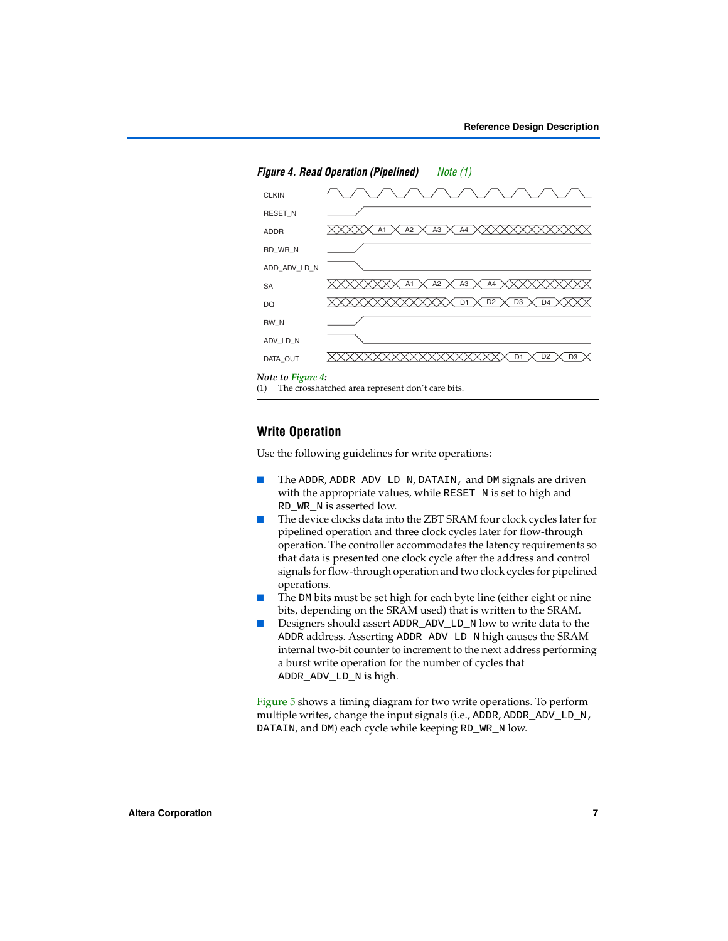<span id="page-6-0"></span>

<span id="page-6-1"></span>(1) The crosshatched area represent don't care bits.

# **Write Operation**

Use the following guidelines for write operations:

- The ADDR, ADDR\_ADV\_LD\_N, DATAIN, and DM signals are driven with the appropriate values, while RESET\_N is set to high and RD\_WR\_N is asserted low.
- The device clocks data into the ZBT SRAM four clock cycles later for pipelined operation and three clock cycles later for flow-through operation. The controller accommodates the latency requirements so that data is presented one clock cycle after the address and control signals for flow-through operation and two clock cycles for pipelined operations.
- The DM bits must be set high for each byte line (either eight or nine bits, depending on the SRAM used) that is written to the SRAM.
- Designers should assert ADDR\_ADV\_LD\_N low to write data to the ADDR address. Asserting ADDR\_ADV\_LD\_N high causes the SRAM internal two-bit counter to increment to the next address performing a burst write operation for the number of cycles that ADDR\_ADV\_LD\_N is high.

[Figure 5](#page-7-0) shows a timing diagram for two write operations. To perform multiple writes, change the input signals (i.e., ADDR, ADDR\_ADV\_LD\_N, DATAIN, and DM) each cycle while keeping RD\_WR\_N low.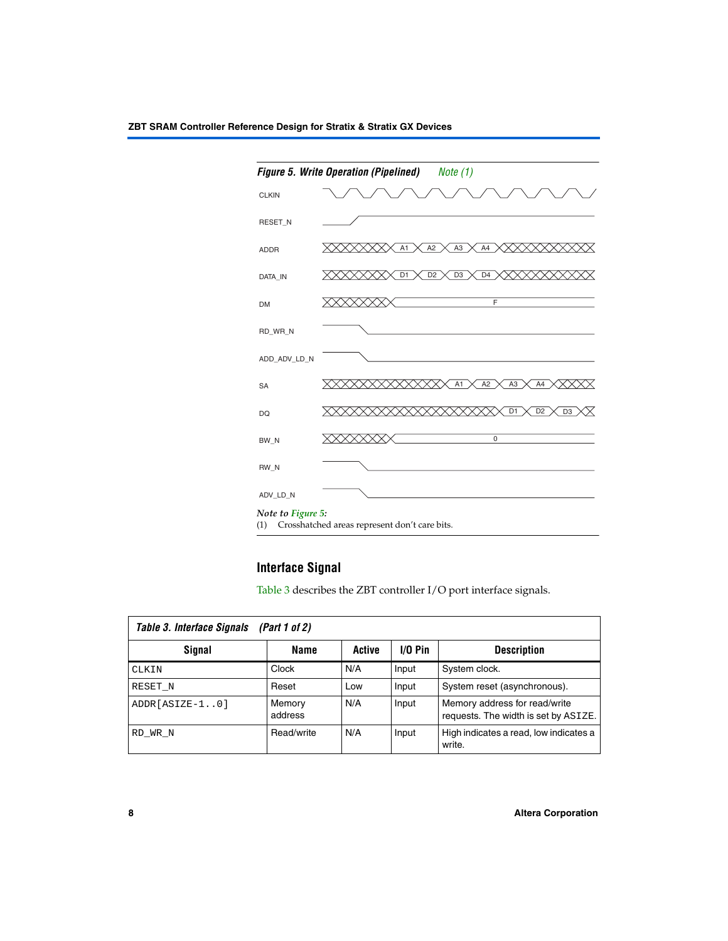<span id="page-7-0"></span>

# <span id="page-7-2"></span>**Interface Signal**

[Table 3](#page-7-1) describes the ZBT controller I/O port interface signals.

<span id="page-7-1"></span>

| Table 3. Interface Signals<br>(Part 1 of 2) |                   |        |           |                                                                       |
|---------------------------------------------|-------------------|--------|-----------|-----------------------------------------------------------------------|
| Signal                                      | Name              | Active | $1/0$ Pin | <b>Description</b>                                                    |
| CLKIN                                       | Clock             | N/A    | Input     | System clock.                                                         |
| RESET N                                     | Reset             | Low    | Input     | System reset (asynchronous).                                          |
| ADDR[ASIZE-10]                              | Memory<br>address | N/A    | Input     | Memory address for read/write<br>requests. The width is set by ASIZE. |
| RD WR N                                     | Read/write        | N/A    | Input     | High indicates a read, low indicates a<br>write.                      |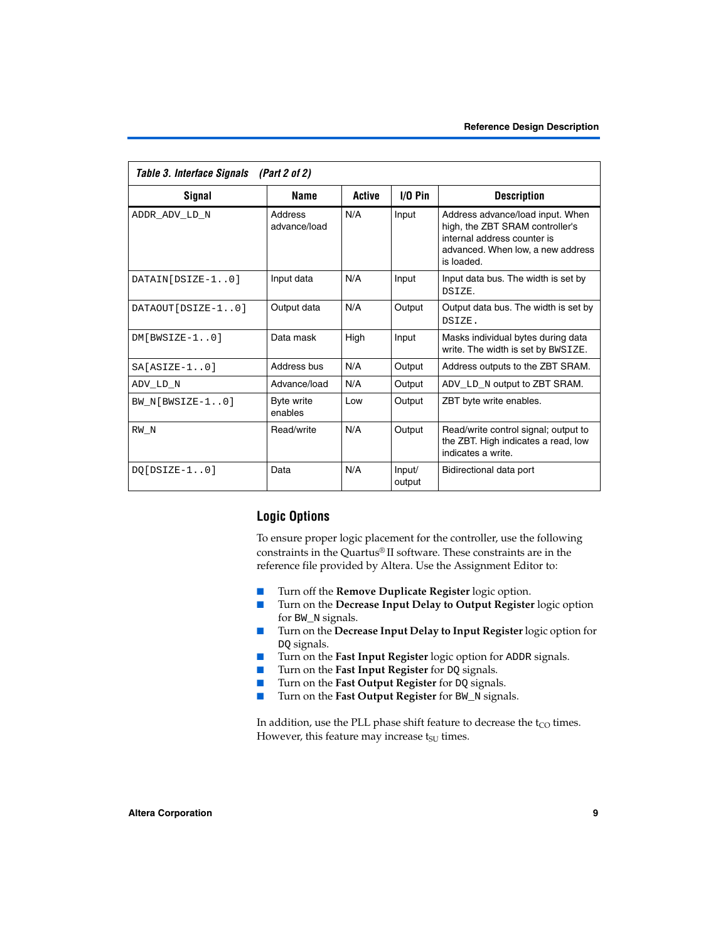| Table 3. Interface Signals (Part 2 of 2) |                         |        |                  |                                                                                                                                                       |
|------------------------------------------|-------------------------|--------|------------------|-------------------------------------------------------------------------------------------------------------------------------------------------------|
| Signal                                   | Name                    | Active | $1/0$ Pin        | <b>Description</b>                                                                                                                                    |
| ADDR ADV LD N                            | Address<br>advance/load | N/A    | Input            | Address advance/load input. When<br>high, the ZBT SRAM controller's<br>internal address counter is<br>advanced. When low, a new address<br>is loaded. |
| DATAIN[DSIZE-10]                         | Input data              | N/A    | Input            | Input data bus. The width is set by<br>DSIZE.                                                                                                         |
| DATAOUT[DSIZE-10]                        | Output data             | N/A    | Output           | Output data bus. The width is set by<br>DSIZE.                                                                                                        |
| $DM[BWSIZE-10]$                          | Data mask               | High   | Input            | Masks individual bytes during data<br>write. The width is set by BWSIZE.                                                                              |
| $SA[ASIZE-10]$                           | Address bus             | N/A    | Output           | Address outputs to the ZBT SRAM.                                                                                                                      |
| ADV LD N                                 | Advance/load            | N/A    | Output           | ADV_LD_N output to ZBT SRAM.                                                                                                                          |
| BW $N[BWSIZE-10]$                        | Byte write<br>enables   | Low    | Output           | ZBT byte write enables.                                                                                                                               |
| RW N                                     | Read/write              | N/A    | Output           | Read/write control signal; output to<br>the ZBT. High indicates a read, low<br>indicates a write.                                                     |
| $DO[DSIZE-10]$                           | Data                    | N/A    | Input/<br>output | Bidirectional data port                                                                                                                               |

# **Logic Options**

To ensure proper logic placement for the controller, use the following constraints in the Quartus® II software. These constraints are in the reference file provided by Altera. Use the Assignment Editor to:

- Turn off the **Remove Duplicate Register** logic option.
- Turn on the **Decrease Input Delay to Output Register** logic option for BW\_N signals.
- Turn on the **Decrease Input Delay to Input Register** logic option for DQ signals.
- Turn on the **Fast Input Register** logic option for ADDR signals.
- Turn on the **Fast Input Register** for DQ signals.
- Turn on the **Fast Output Register** for DQ signals.
- Turn on the **Fast Output Register** for BW\_N signals.

In addition, use the PLL phase shift feature to decrease the  $t_{\rm CO}$  times. However, this feature may increase  $t_{\text{SU}}$  times.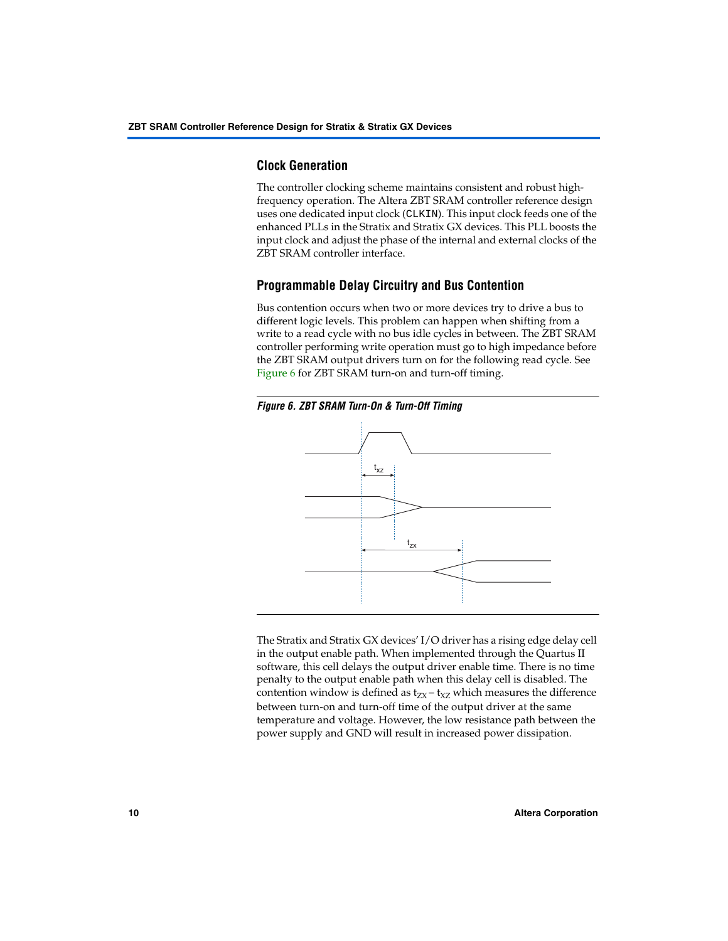# **Clock Generation**

The controller clocking scheme maintains consistent and robust highfrequency operation. The Altera ZBT SRAM controller reference design uses one dedicated input clock (CLKIN). This input clock feeds one of the enhanced PLLs in the Stratix and Stratix GX devices. This PLL boosts the input clock and adjust the phase of the internal and external clocks of the ZBT SRAM controller interface.

# **Programmable Delay Circuitry and Bus Contention**

Bus contention occurs when two or more devices try to drive a bus to different logic levels. This problem can happen when shifting from a write to a read cycle with no bus idle cycles in between. The ZBT SRAM controller performing write operation must go to high impedance before the ZBT SRAM output drivers turn on for the following read cycle. See [Figure 6](#page-9-0) for ZBT SRAM turn-on and turn-off timing.

<span id="page-9-0"></span>



The Stratix and Stratix GX devices' I/O driver has a rising edge delay cell in the output enable path. When implemented through the Quartus II software, this cell delays the output driver enable time. There is no time penalty to the output enable path when this delay cell is disabled. The contention window is defined as  $t_{ZX} - t_{XZ}$  which measures the difference between turn-on and turn-off time of the output driver at the same temperature and voltage. However, the low resistance path between the power supply and GND will result in increased power dissipation.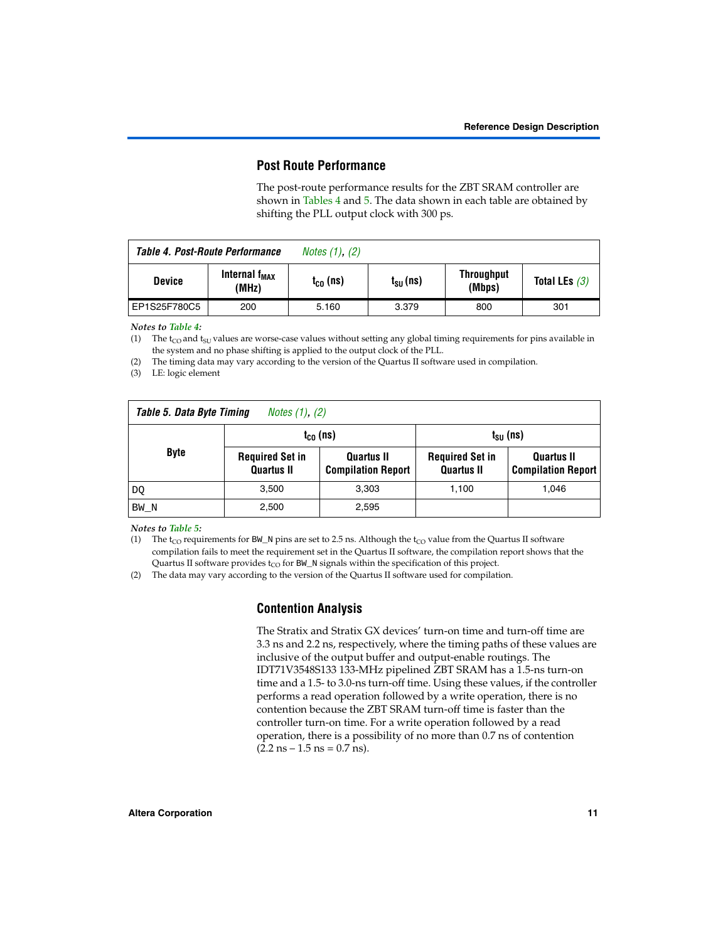# **Post Route Performance**

The post-route performance results for the ZBT SRAM controller are shown in [Tables 4](#page-10-0) and [5.](#page-10-1) The data shown in each table are obtained by shifting the PLL output clock with 300 ps.

<span id="page-10-0"></span>

|               | Table 4. Post-Route Performance    | <i>Notes <math>(1)</math>, <math>(2)</math></i> |                      |                             |                 |
|---------------|------------------------------------|-------------------------------------------------|----------------------|-----------------------------|-----------------|
| <b>Device</b> | Internal f <sub>MAX</sub><br>(MHz) | $t_{CO}$ (ns)                                   | t <sub>su</sub> (ns) | <b>Throughput</b><br>(Mbps) | Total LEs $(3)$ |
| EP1S25F780C5  | 200                                | 5.160                                           | 3.379                | 800                         | 301             |

#### *Notes to [Table 4](#page-10-0):*

<span id="page-10-2"></span>(1) The  $t_{CO}$  and  $t_{SU}$  values are worse-case values without setting any global timing requirements for pins available in the system and no phase shifting is applied to the output clock of the PLL.

<span id="page-10-3"></span>(2) The timing data may vary according to the version of the Quartus II software used in compilation.

<span id="page-10-4"></span>(3) LE: logic element

<span id="page-10-1"></span>

| Table 5. Data Byte Timing<br><i>Notes <math>(1)</math>, <math>(2)</math></i> |                                             |                                                |                                             |                                         |  |
|------------------------------------------------------------------------------|---------------------------------------------|------------------------------------------------|---------------------------------------------|-----------------------------------------|--|
|                                                                              |                                             | $t_{c0}$ (ns)                                  | $t_{\text{SU}}$ (ns)                        |                                         |  |
| <b>Byte</b>                                                                  | <b>Required Set in</b><br><b>Quartus II</b> | <b>Quartus II</b><br><b>Compilation Report</b> | <b>Required Set in</b><br><b>Quartus II</b> | Quartus II<br><b>Compilation Report</b> |  |
| DO                                                                           | 3,500                                       | 3,303                                          | 1,100                                       | 1.046                                   |  |
| BW N                                                                         | 2,500                                       | 2,595                                          |                                             |                                         |  |

#### *Notes to [Table 5](#page-10-1):*

(1) The t<sub>CO</sub> requirements for BW\_N pins are set to 2.5 ns. Although the t<sub>CO</sub> value from the Quartus II software compilation fails to meet the requirement set in the Quartus II software, the compilation report shows that the Quartus II software provides  $t_{CO}$  for BW\_N signals within the specification of this project.

(2) The data may vary according to the version of the Quartus II software used for compilation.

## **Contention Analysis**

The Stratix and Stratix GX devices' turn-on time and turn-off time are 3.3 ns and 2.2 ns, respectively, where the timing paths of these values are inclusive of the output buffer and output-enable routings. The IDT71V3548S133 133-MHz pipelined ZBT SRAM has a 1.5-ns turn-on time and a 1.5- to 3.0-ns turn-off time. Using these values, if the controller performs a read operation followed by a write operation, there is no contention because the ZBT SRAM turn-off time is faster than the controller turn-on time. For a write operation followed by a read operation, there is a possibility of no more than 0.7 ns of contention  $(2.2 \text{ ns} - 1.5 \text{ ns} = 0.7 \text{ ns}).$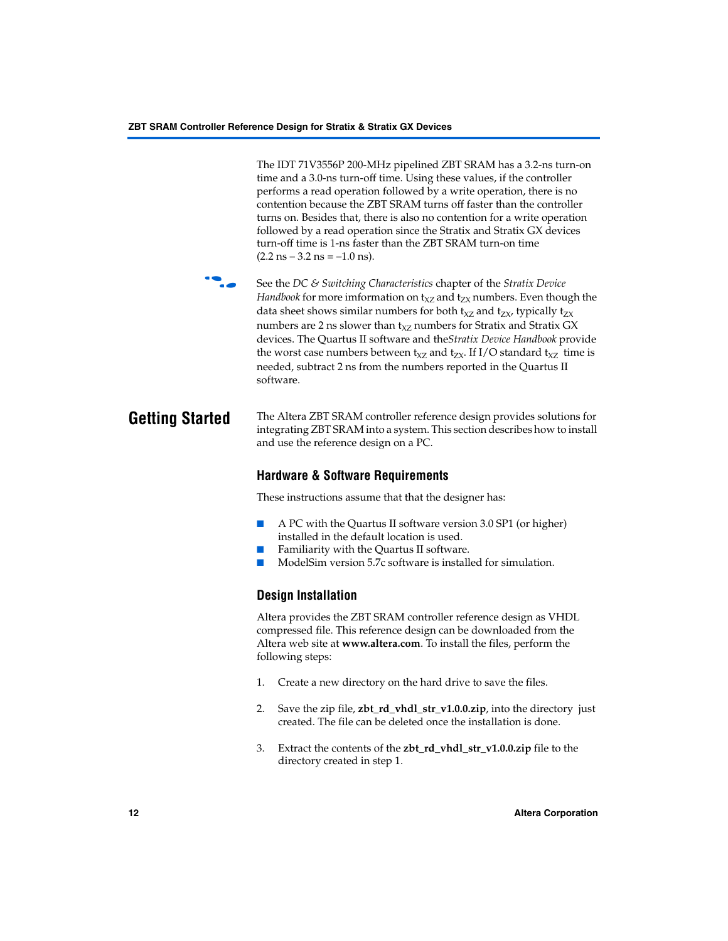The IDT 71V3556P 200-MHz pipelined ZBT SRAM has a 3.2-ns turn-on time and a 3.0-ns turn-off time. Using these values, if the controller performs a read operation followed by a write operation, there is no contention because the ZBT SRAM turns off faster than the controller turns on. Besides that, there is also no contention for a write operation followed by a read operation since the Stratix and Stratix GX devices turn-off time is 1-ns faster than the ZBT SRAM turn-on time  $(2.2 \text{ ns} - 3.2 \text{ ns} = -1.0 \text{ ns}).$ 



f See the *DC & Switching Characteristics* chapter of the *Stratix Device Handbook* for more imformation on  $t_{XZ}$  and  $t_{ZX}$  numbers. Even though the data sheet shows similar numbers for both  $t_{XZ}$  and  $t_{ZX}$ , typically  $t_{ZX}$ numbers are 2 ns slower than  $t_{XZ}$  numbers for Stratix and Stratix GX devices. The Quartus II software and the*Stratix Device Handbook* provide the worst case numbers between  $t_{XZ}$  and  $t_{ZX}$ . If I/O standard  $t_{XZ}$  time is needed, subtract 2 ns from the numbers reported in the Quartus II software.

## **Getting Started** The Altera ZBT SRAM controller reference design provides solutions for integrating ZBT SRAM into a system. This section describes how to install and use the reference design on a PC.

# **Hardware & Software Requirements**

These instructions assume that that the designer has:

- A PC with the Quartus II software version 3.0 SP1 (or higher) installed in the default location is used.
- Familiarity with the Quartus II software.
- ModelSim version 5.7c software is installed for simulation.

# **Design Installation**

Altera provides the ZBT SRAM controller reference design as VHDL compressed file. This reference design can be downloaded from the Altera web site at **www.altera.com**. To install the files, perform the following steps:

- 1. Create a new directory on the hard drive to save the files.
- 2. Save the zip file, **zbt** rd vhdl str v1.0.0.zip, into the directory just created. The file can be deleted once the installation is done.
- 3. Extract the contents of the **zbt\_rd\_vhdl\_str\_v1.0.0.zip** file to the directory created in step 1.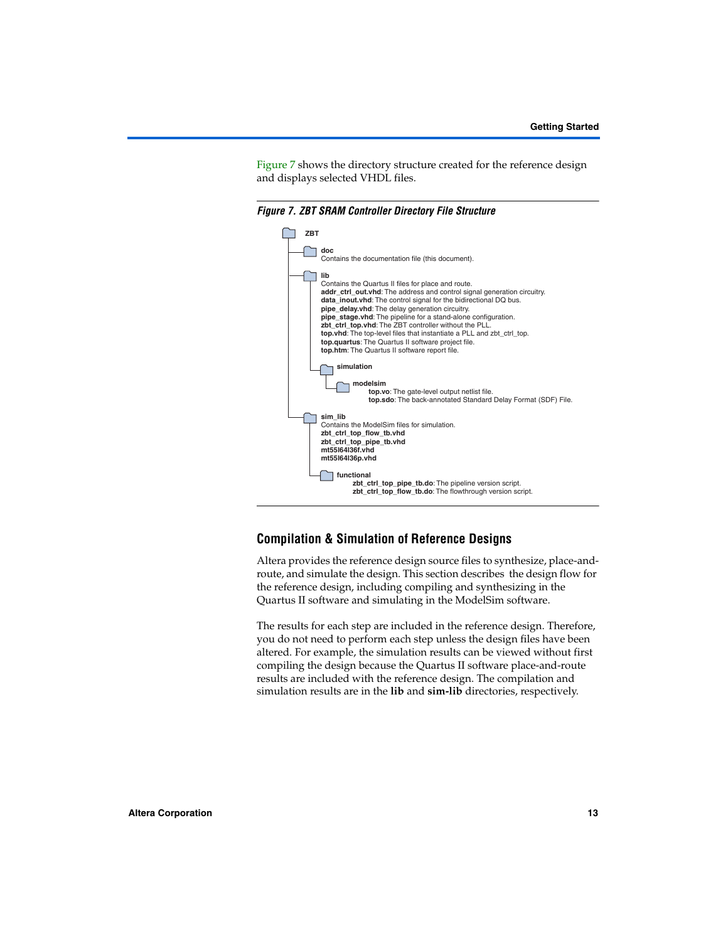[Figure 7](#page-12-0) shows the directory structure created for the reference design and displays selected VHDL files.

<span id="page-12-0"></span>*Figure 7. ZBT SRAM Controller Directory File Structure*



# **Compilation & Simulation of Reference Designs**

Altera provides the reference design source files to synthesize, place-androute, and simulate the design. This section describes the design flow for the reference design, including compiling and synthesizing in the Quartus II software and simulating in the ModelSim software.

The results for each step are included in the reference design. Therefore, you do not need to perform each step unless the design files have been altered. For example, the simulation results can be viewed without first compiling the design because the Quartus II software place-and-route results are included with the reference design. The compilation and simulation results are in the **lib** and **sim-lib** directories, respectively.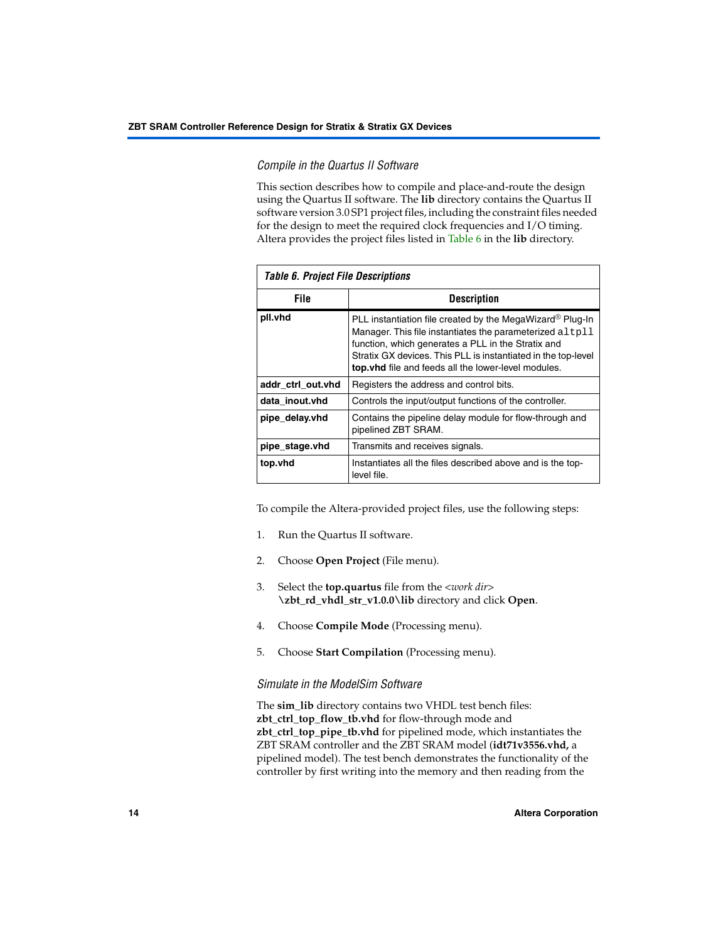## *Compile in the Quartus II Software*

This section describes how to compile and place-and-route the design using the Quartus II software. The **lib** directory contains the Quartus II software version 3.0 SP1 project files, including the constraint files needed for the design to meet the required clock frequencies and I/O timing. Altera provides the project files listed in [Table 6](#page-13-0) in the **lib** directory.

<span id="page-13-0"></span>

| <b>Table 6. Project File Descriptions</b> |                                                                                                                                                                                                                                                                                                                  |  |  |
|-------------------------------------------|------------------------------------------------------------------------------------------------------------------------------------------------------------------------------------------------------------------------------------------------------------------------------------------------------------------|--|--|
| <b>File</b>                               | <b>Description</b>                                                                                                                                                                                                                                                                                               |  |  |
| pll.vhd                                   | PLL instantiation file created by the MegaWizard <sup>®</sup> Plug-In<br>Manager. This file instantiates the parameterized altpll<br>function, which generates a PLL in the Stratix and<br>Stratix GX devices. This PLL is instantiated in the top-level<br>top. vhd file and feeds all the lower-level modules. |  |  |
| addr ctrl out.vhd                         | Registers the address and control bits.                                                                                                                                                                                                                                                                          |  |  |
| data inout.vhd                            | Controls the input/output functions of the controller.                                                                                                                                                                                                                                                           |  |  |
| pipe_delay.vhd                            | Contains the pipeline delay module for flow-through and<br>pipelined ZBT SRAM.                                                                                                                                                                                                                                   |  |  |
| pipe_stage.vhd                            | Transmits and receives signals.                                                                                                                                                                                                                                                                                  |  |  |
| top.vhd                                   | Instantiates all the files described above and is the top-<br>level file.                                                                                                                                                                                                                                        |  |  |

To compile the Altera-provided project files, use the following steps:

- 1. Run the Quartus II software.
- 2. Choose **Open Project** (File menu).
- 3. Select the **top.quartus** file from the <*work dir*> **\zbt\_rd\_vhdl\_str\_v1.0.0\lib** directory and click **Open**.
- 4. Choose **Compile Mode** (Processing menu).
- 5. Choose **Start Compilation** (Processing menu).

#### *Simulate in the ModelSim Software*

The **sim\_lib** directory contains two VHDL test bench files: **zbt\_ctrl\_top\_flow\_tb.vhd** for flow-through mode and **zbt\_ctrl\_top\_pipe\_tb.vhd** for pipelined mode, which instantiates the ZBT SRAM controller and the ZBT SRAM model (**idt71v3556.vhd,** a pipelined model). The test bench demonstrates the functionality of the controller by first writing into the memory and then reading from the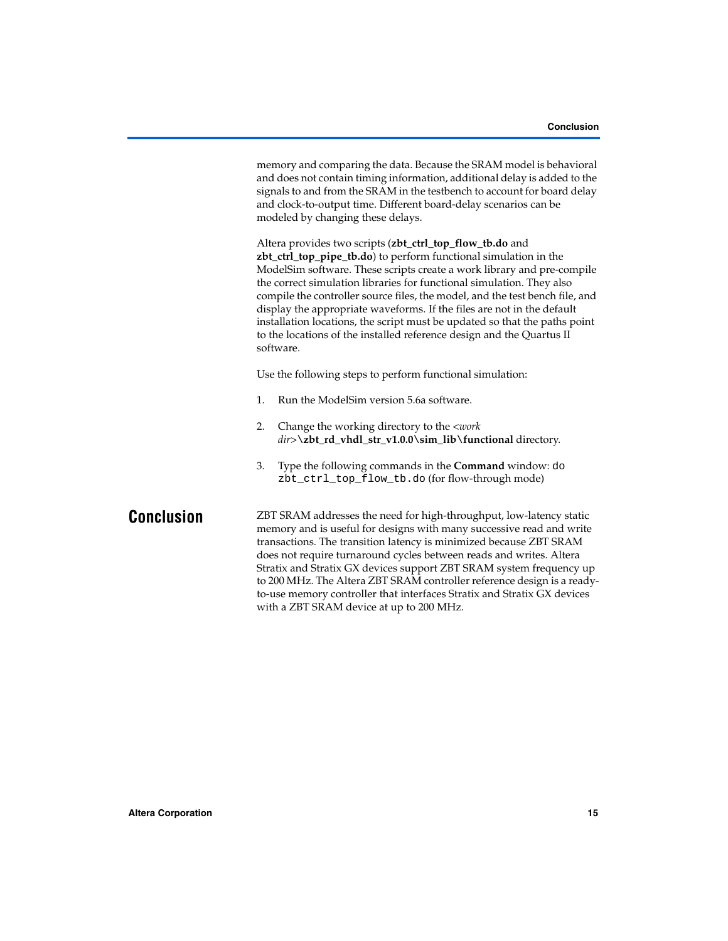|            | memory and comparing the data. Because the SRAM model is behavioral<br>and does not contain timing information, additional delay is added to the<br>signals to and from the SRAM in the testbench to account for board delay<br>and clock-to-output time. Different board-delay scenarios can be<br>modeled by changing these delays.                                                                                                                                                                                                                                                                         |  |  |  |
|------------|---------------------------------------------------------------------------------------------------------------------------------------------------------------------------------------------------------------------------------------------------------------------------------------------------------------------------------------------------------------------------------------------------------------------------------------------------------------------------------------------------------------------------------------------------------------------------------------------------------------|--|--|--|
|            | Altera provides two scripts (zbt_ctrl_top_flow_tb.do and<br>zbt_ctrl_top_pipe_tb.do) to perform functional simulation in the<br>ModelSim software. These scripts create a work library and pre-compile<br>the correct simulation libraries for functional simulation. They also<br>compile the controller source files, the model, and the test bench file, and<br>display the appropriate waveforms. If the files are not in the default<br>installation locations, the script must be updated so that the paths point<br>to the locations of the installed reference design and the Quartus II<br>software. |  |  |  |
|            | Use the following steps to perform functional simulation:                                                                                                                                                                                                                                                                                                                                                                                                                                                                                                                                                     |  |  |  |
|            | 1.<br>Run the ModelSim version 5.6a software.                                                                                                                                                                                                                                                                                                                                                                                                                                                                                                                                                                 |  |  |  |
|            | Change the working directory to the < <i>work</i><br>2.<br>dir>\zbt_rd_vhdl_str_v1.0.0\sim_lib\functional directory.                                                                                                                                                                                                                                                                                                                                                                                                                                                                                          |  |  |  |
|            | 3.<br>Type the following commands in the <b>Command</b> window: do<br>zbt_ctrl_top_flow_tb.do (for flow-through mode)                                                                                                                                                                                                                                                                                                                                                                                                                                                                                         |  |  |  |
| Conclusion | ZBT SRAM addresses the need for high-throughput, low-latency static<br>memory and is useful for designs with many successive read and write<br>transactions. The transition latency is minimized because ZBT SRAM<br>does not require turnaround cycles between reads and writes. Altera<br>Stratix and Stratix GX devices support ZBT SRAM system frequency up<br>to 200 MHz. The Altera ZBT SRAM controller reference design is a ready-<br>to-use memory controller that interfaces Stratix and Stratix GX devices<br>with a ZBT SRAM device at up to 200 MHz.                                             |  |  |  |